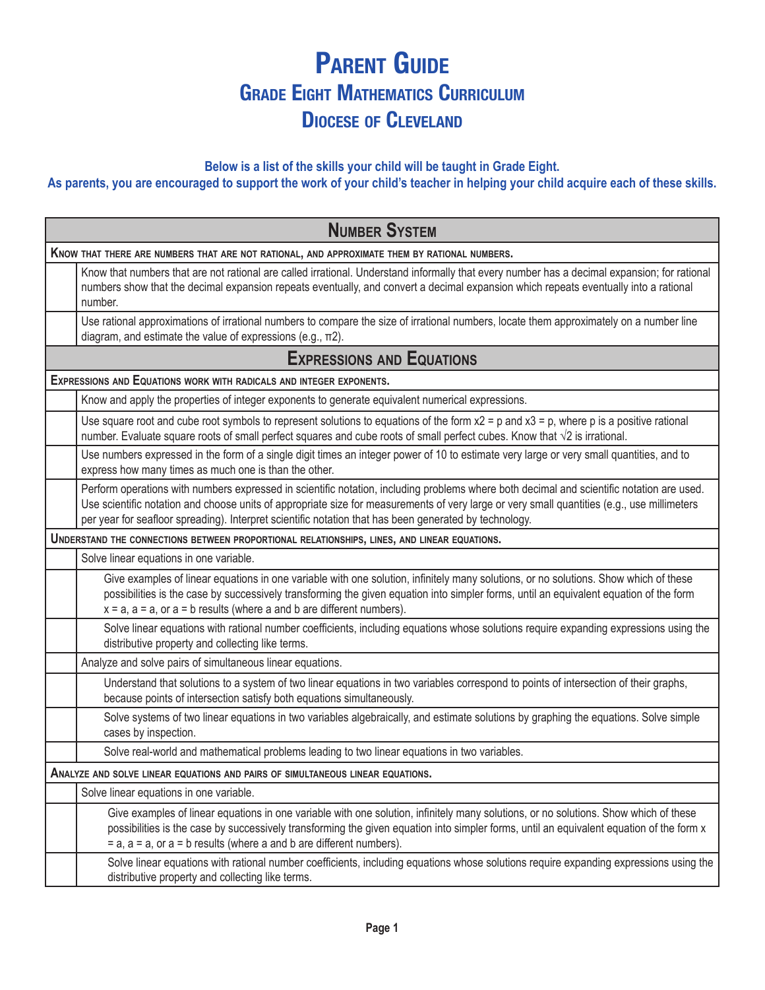## **Parent Guide Grade Eight Mathematics Curriculum Diocese of Cleveland**

## **Below is a list of the skills your child will be taught in Grade Eight.**

## **As parents, you are encouraged to support the work of your child's teacher in helping your child acquire each of these skills.**

| <b>NUMBER SYSTEM</b>                                                                                                                                                                                                                                                                                                                                                                               |  |  |
|----------------------------------------------------------------------------------------------------------------------------------------------------------------------------------------------------------------------------------------------------------------------------------------------------------------------------------------------------------------------------------------------------|--|--|
| KNOW THAT THERE ARE NUMBERS THAT ARE NOT RATIONAL, AND APPROXIMATE THEM BY RATIONAL NUMBERS.                                                                                                                                                                                                                                                                                                       |  |  |
| Know that numbers that are not rational are called irrational. Understand informally that every number has a decimal expansion; for rational<br>numbers show that the decimal expansion repeats eventually, and convert a decimal expansion which repeats eventually into a rational<br>number.                                                                                                    |  |  |
| Use rational approximations of irrational numbers to compare the size of irrational numbers, locate them approximately on a number line<br>diagram, and estimate the value of expressions (e.g., $\pi$ 2).                                                                                                                                                                                         |  |  |
| <b>EXPRESSIONS AND EQUATIONS</b>                                                                                                                                                                                                                                                                                                                                                                   |  |  |
| EXPRESSIONS AND EQUATIONS WORK WITH RADICALS AND INTEGER EXPONENTS.                                                                                                                                                                                                                                                                                                                                |  |  |
| Know and apply the properties of integer exponents to generate equivalent numerical expressions.                                                                                                                                                                                                                                                                                                   |  |  |
| Use square root and cube root symbols to represent solutions to equations of the form $x2 = p$ and $x3 = p$ , where p is a positive rational<br>number. Evaluate square roots of small perfect squares and cube roots of small perfect cubes. Know that $\sqrt{2}$ is irrational.                                                                                                                  |  |  |
| Use numbers expressed in the form of a single digit times an integer power of 10 to estimate very large or very small quantities, and to<br>express how many times as much one is than the other.                                                                                                                                                                                                  |  |  |
| Perform operations with numbers expressed in scientific notation, including problems where both decimal and scientific notation are used.<br>Use scientific notation and choose units of appropriate size for measurements of very large or very small quantities (e.g., use millimeters<br>per year for seafloor spreading). Interpret scientific notation that has been generated by technology. |  |  |
| UNDERSTAND THE CONNECTIONS BETWEEN PROPORTIONAL RELATIONSHIPS, LINES, AND LINEAR EQUATIONS.                                                                                                                                                                                                                                                                                                        |  |  |
| Solve linear equations in one variable.                                                                                                                                                                                                                                                                                                                                                            |  |  |
| Give examples of linear equations in one variable with one solution, infinitely many solutions, or no solutions. Show which of these<br>possibilities is the case by successively transforming the given equation into simpler forms, until an equivalent equation of the form<br>$x = a$ , $a = a$ , or $a = b$ results (where a and b are different numbers).                                    |  |  |
| Solve linear equations with rational number coefficients, including equations whose solutions require expanding expressions using the<br>distributive property and collecting like terms.                                                                                                                                                                                                          |  |  |
| Analyze and solve pairs of simultaneous linear equations.                                                                                                                                                                                                                                                                                                                                          |  |  |
| Understand that solutions to a system of two linear equations in two variables correspond to points of intersection of their graphs,<br>because points of intersection satisfy both equations simultaneously.                                                                                                                                                                                      |  |  |
| Solve systems of two linear equations in two variables algebraically, and estimate solutions by graphing the equations. Solve simple<br>cases by inspection.                                                                                                                                                                                                                                       |  |  |
| Solve real-world and mathematical problems leading to two linear equations in two variables.                                                                                                                                                                                                                                                                                                       |  |  |
| ANALYZE AND SOLVE LINEAR EQUATIONS AND PAIRS OF SIMULTANEOUS LINEAR EQUATIONS                                                                                                                                                                                                                                                                                                                      |  |  |
| Solve linear equations in one variable.                                                                                                                                                                                                                                                                                                                                                            |  |  |
| Give examples of linear equations in one variable with one solution, infinitely many solutions, or no solutions. Show which of these<br>possibilities is the case by successively transforming the given equation into simpler forms, until an equivalent equation of the form x<br>$=$ a, $a$ = a, or $a$ = b results (where a and b are different numbers).                                      |  |  |
| Solve linear equations with rational number coefficients, including equations whose solutions require expanding expressions using the<br>distributive property and collecting like terms.                                                                                                                                                                                                          |  |  |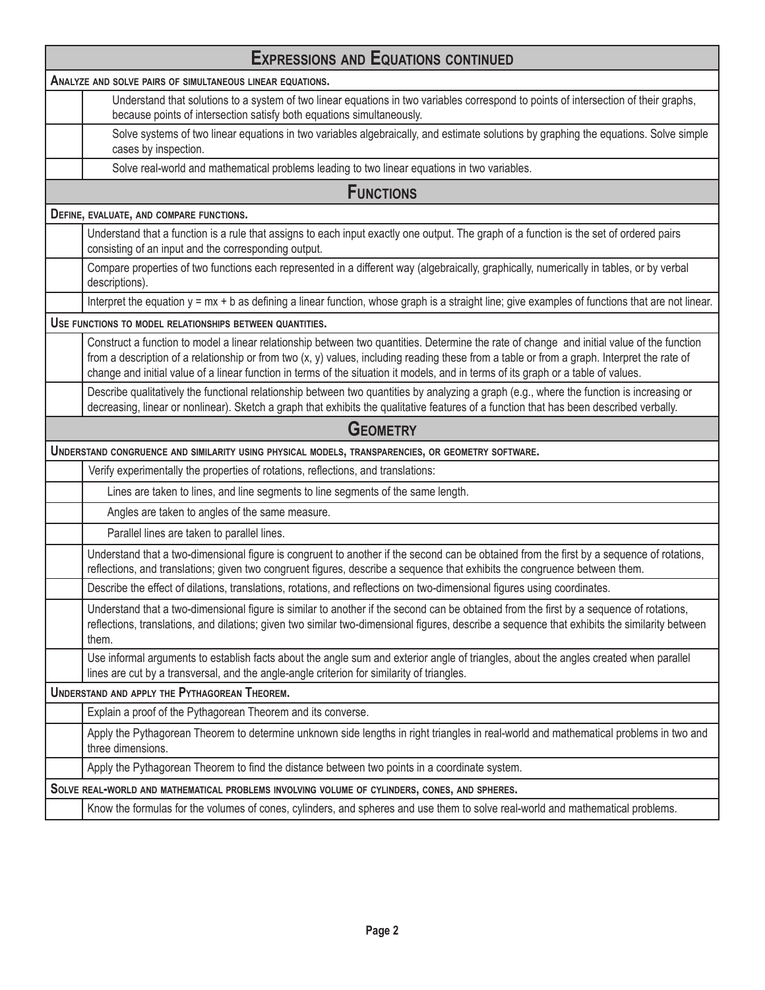| <b>EXPRESSIONS AND EQUATIONS CONTINUED</b>                                                                                                                                                                                                                                                                                                                                                                                      |  |  |
|---------------------------------------------------------------------------------------------------------------------------------------------------------------------------------------------------------------------------------------------------------------------------------------------------------------------------------------------------------------------------------------------------------------------------------|--|--|
| ANALYZE AND SOLVE PAIRS OF SIMULTANEOUS LINEAR EQUATIONS.                                                                                                                                                                                                                                                                                                                                                                       |  |  |
| Understand that solutions to a system of two linear equations in two variables correspond to points of intersection of their graphs,<br>because points of intersection satisfy both equations simultaneously.                                                                                                                                                                                                                   |  |  |
| Solve systems of two linear equations in two variables algebraically, and estimate solutions by graphing the equations. Solve simple<br>cases by inspection.                                                                                                                                                                                                                                                                    |  |  |
| Solve real-world and mathematical problems leading to two linear equations in two variables.                                                                                                                                                                                                                                                                                                                                    |  |  |
| <b>FUNCTIONS</b>                                                                                                                                                                                                                                                                                                                                                                                                                |  |  |
| DEFINE, EVALUATE, AND COMPARE FUNCTIONS.                                                                                                                                                                                                                                                                                                                                                                                        |  |  |
| Understand that a function is a rule that assigns to each input exactly one output. The graph of a function is the set of ordered pairs<br>consisting of an input and the corresponding output.                                                                                                                                                                                                                                 |  |  |
| Compare properties of two functions each represented in a different way (algebraically, graphically, numerically in tables, or by verbal<br>descriptions).                                                                                                                                                                                                                                                                      |  |  |
| Interpret the equation $y = mx + b$ as defining a linear function, whose graph is a straight line; give examples of functions that are not linear.                                                                                                                                                                                                                                                                              |  |  |
| USE FUNCTIONS TO MODEL RELATIONSHIPS BETWEEN QUANTITIES.                                                                                                                                                                                                                                                                                                                                                                        |  |  |
| Construct a function to model a linear relationship between two quantities. Determine the rate of change and initial value of the function<br>from a description of a relationship or from two (x, y) values, including reading these from a table or from a graph. Interpret the rate of<br>change and initial value of a linear function in terms of the situation it models, and in terms of its graph or a table of values. |  |  |
| Describe qualitatively the functional relationship between two quantities by analyzing a graph (e.g., where the function is increasing or<br>decreasing, linear or nonlinear). Sketch a graph that exhibits the qualitative features of a function that has been described verbally.                                                                                                                                            |  |  |
| <b>GEOMETRY</b>                                                                                                                                                                                                                                                                                                                                                                                                                 |  |  |
| UNDERSTAND CONGRUENCE AND SIMILARITY USING PHYSICAL MODELS, TRANSPARENCIES, OR GEOMETRY SOFTWARE.                                                                                                                                                                                                                                                                                                                               |  |  |
| Verify experimentally the properties of rotations, reflections, and translations:                                                                                                                                                                                                                                                                                                                                               |  |  |
| Lines are taken to lines, and line segments to line segments of the same length.                                                                                                                                                                                                                                                                                                                                                |  |  |
| Angles are taken to angles of the same measure.                                                                                                                                                                                                                                                                                                                                                                                 |  |  |
| Parallel lines are taken to parallel lines.                                                                                                                                                                                                                                                                                                                                                                                     |  |  |
| Understand that a two-dimensional figure is congruent to another if the second can be obtained from the first by a sequence of rotations,<br>reflections, and translations; given two congruent figures, describe a sequence that exhibits the congruence between them.                                                                                                                                                         |  |  |
| Describe the effect of dilations, translations, rotations, and reflections on two-dimensional figures using coordinates.                                                                                                                                                                                                                                                                                                        |  |  |
| Understand that a two-dimensional figure is similar to another if the second can be obtained from the first by a sequence of rotations,<br>reflections, translations, and dilations; given two similar two-dimensional figures, describe a sequence that exhibits the similarity between<br>them.                                                                                                                               |  |  |
| Use informal arguments to establish facts about the angle sum and exterior angle of triangles, about the angles created when parallel<br>lines are cut by a transversal, and the angle-angle criterion for similarity of triangles.                                                                                                                                                                                             |  |  |
| UNDERSTAND AND APPLY THE PYTHAGOREAN THEOREM.                                                                                                                                                                                                                                                                                                                                                                                   |  |  |
| Explain a proof of the Pythagorean Theorem and its converse.                                                                                                                                                                                                                                                                                                                                                                    |  |  |
| Apply the Pythagorean Theorem to determine unknown side lengths in right triangles in real-world and mathematical problems in two and<br>three dimensions.                                                                                                                                                                                                                                                                      |  |  |
| Apply the Pythagorean Theorem to find the distance between two points in a coordinate system.                                                                                                                                                                                                                                                                                                                                   |  |  |
| SOLVE REAL-WORLD AND MATHEMATICAL PROBLEMS INVOLVING VOLUME OF CYLINDERS, CONES, AND SPHERES.                                                                                                                                                                                                                                                                                                                                   |  |  |
| Know the formulas for the volumes of cones, cylinders, and spheres and use them to solve real-world and mathematical problems.                                                                                                                                                                                                                                                                                                  |  |  |